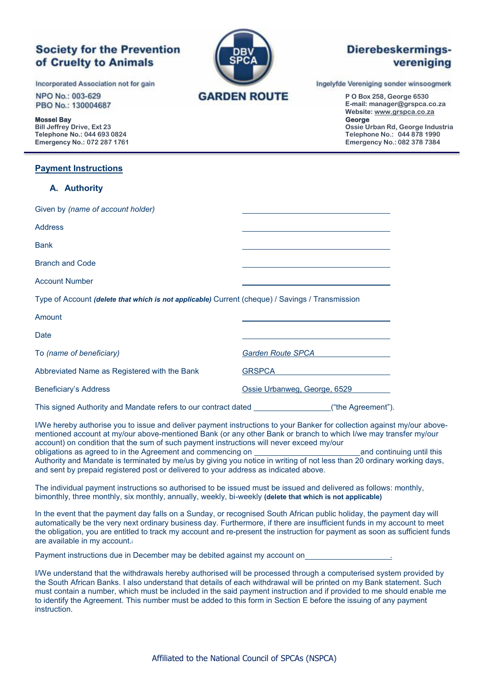# **Society for the Prevention** of Cruelty to Animals

Incorporated Association not for gain

NPO No.: 003-629 PBO No.: 130004687

**Mossel Bay George**

### **Payment Instructions**

## **A. Authority**

| A. AULIJUILY                                                                                    |                              |
|-------------------------------------------------------------------------------------------------|------------------------------|
| Given by (name of account holder)                                                               |                              |
| <b>Address</b>                                                                                  |                              |
| <b>Bank</b>                                                                                     |                              |
| <b>Branch and Code</b>                                                                          |                              |
| <b>Account Number</b>                                                                           |                              |
| Type of Account (delete that which is not applicable) Current (cheque) / Savings / Transmission |                              |
| Amount                                                                                          |                              |
| Date                                                                                            |                              |
| To (name of beneficiary)                                                                        | <b>Garden Route SPCA</b>     |
| Abbreviated Name as Registered with the Bank                                                    | <b>GRSPCA</b>                |
| Beneficiary's Address                                                                           | Ossie Urbanweg, George, 6529 |

This signed Authority and Mandate refers to our contract dated ("the Agreement").

I/We hereby authorise you to issue and deliver payment instructions to your Banker for collection against my/our abovementioned account at my/our above-mentioned Bank (or any other Bank or branch to which I/we may transfer my/our account) on condition that the sum of such payment instructions will never exceed my/our obligations as agreed to in the Agreement and commencing on and continuing until this Authority and Mandate is terminated by me/us by giving you notice in writing of not less than 20 ordinary working days, and sent by prepaid registered post or delivered to your address as indicated above.

The individual payment instructions so authorised to be issued must be issued and delivered as follows: monthly, bimonthly, three monthly, six monthly, annually, weekly, bi-weekly **(delete that which is not applicable)** 

In the event that the payment day falls on a Sunday, or recognised South African public holiday, the payment day will automatically be the very next ordinary business day. Furthermore, if there are insufficient funds in my account to meet the obligation, you are entitled to track my account and re-present the instruction for payment as soon as sufficient funds are available in my account.<sup>i</sup>

Payment instructions due in December may be debited against my account on .

I/We understand that the withdrawals hereby authorised will be processed through a computerised system provided by the South African Banks. I also understand that details of each withdrawal will be printed on my Bank statement. Such must contain a number, which must be included in the said payment instruction and if provided to me should enable me to identify the Agreement. This number must be added to this form in Section E before the issuing of any payment instruction.



# Dierebeskermingsvereniging

Ingelyfde Vereniging sonder winsoogmerk

**P O Box 258, George 6530 E-mail: manager@grspca.co.za Website: [www.grspca.co.za](http://www.grspca.co.za/)** 

**Bill Jeffrey Drive, Ext 23 Ossie Urban Rd, George Industria Telephone No.: 044 693 0824 Telephone No.: 044 878 1990 Emergency No.: 072 287 1761 Emergency No.: 082 378 7384**